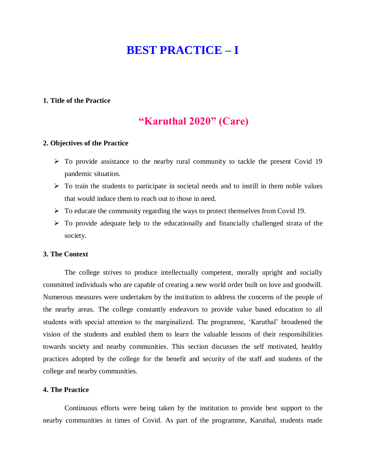# **BEST PRACTICE – I**

### **1. Title of the Practice**

### **"Karuthal 2020" (Care)**

### **2. Objectives of the Practice**

- $\triangleright$  To provide assistance to the nearby rural community to tackle the present Covid 19 pandemic situation.
- $\triangleright$  To train the students to participate in societal needs and to instill in them noble values that would induce them to reach out to those in need.
- $\triangleright$  To educate the community regarding the ways to protect themselves from Covid 19.
- $\triangleright$  To provide adequate help to the educationally and financially challenged strata of the society.

### **3. The Context**

The college strives to produce intellectually competent, morally upright and socially committed individuals who are capable of creating a new world order built on love and goodwill. Numerous measures were undertaken by the institution to address the concerns of the people of the nearby areas. The college constantly endeavors to provide value based education to all students with special attention to the marginalized. The programme, 'Karuthal' broadened the vision of the students and enabled them to learn the valuable lessons of their responsibilities towards society and nearby communities. This section discusses the self motivated, healthy practices adopted by the college for the benefit and security of the staff and students of the college and nearby communities.

### **4. The Practice**

Continuous efforts were being taken by the institution to provide best support to the nearby communities in times of Covid. As part of the programme, Karuthal, students made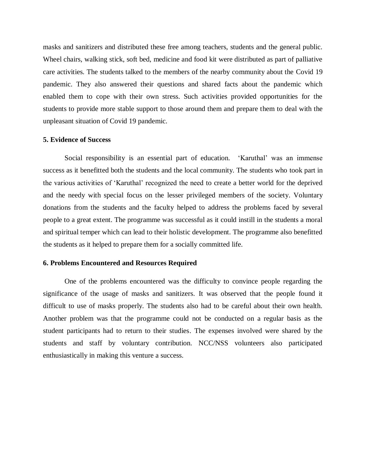masks and sanitizers and distributed these free among teachers, students and the general public. Wheel chairs, walking stick, soft bed, medicine and food kit were distributed as part of palliative care activities. The students talked to the members of the nearby community about the Covid 19 pandemic. They also answered their questions and shared facts about the pandemic which enabled them to cope with their own stress. Such activities provided opportunities for the students to provide more stable support to those around them and prepare them to deal with the unpleasant situation of Covid 19 pandemic.

### **5. Evidence of Success**

Social responsibility is an essential part of education. 'Karuthal' was an immense success as it benefitted both the students and the local community. The students who took part in the various activities of 'Karuthal' recognized the need to create a better world for the deprived and the needy with special focus on the lesser privileged members of the society. Voluntary donations from the students and the faculty helped to address the problems faced by several people to a great extent. The programme was successful as it could instill in the students a moral and spiritual temper which can lead to their holistic development. The programme also benefitted the students as it helped to prepare them for a socially committed life.

### **6. Problems Encountered and Resources Required**

One of the problems encountered was the difficulty to convince people regarding the significance of the usage of masks and sanitizers. It was observed that the people found it difficult to use of masks properly. The students also had to be careful about their own health. Another problem was that the programme could not be conducted on a regular basis as the student participants had to return to their studies. The expenses involved were shared by the students and staff by voluntary contribution. NCC/NSS volunteers also participated enthusiastically in making this venture a success.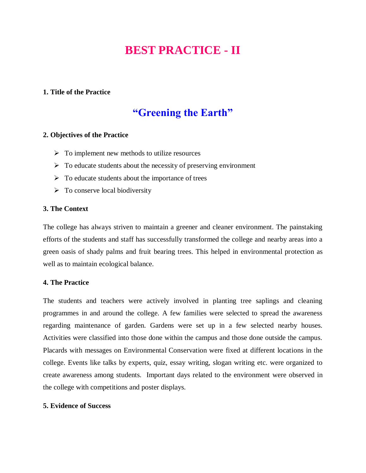# **BEST PRACTICE - II**

### **1. Title of the Practice**

## **"Greening the Earth"**

### **2. Objectives of the Practice**

- $\triangleright$  To implement new methods to utilize resources
- $\triangleright$  To educate students about the necessity of preserving environment
- $\triangleright$  To educate students about the importance of trees
- $\triangleright$  To conserve local biodiversity

### **3. The Context**

The college has always striven to maintain a greener and cleaner environment. The painstaking efforts of the students and staff has successfully transformed the college and nearby areas into a green oasis of shady palms and fruit bearing trees. This helped in environmental protection as well as to maintain ecological balance.

### **4. The Practice**

The students and teachers were actively involved in planting tree saplings and cleaning programmes in and around the college. A few families were selected to spread the awareness regarding maintenance of garden. Gardens were set up in a few selected nearby houses. Activities were classified into those done within the campus and those done outside the campus. Placards with messages on Environmental Conservation were fixed at different locations in the college. Events like talks by experts, quiz, essay writing, slogan writing etc. were organized to create awareness among students. Important days related to the environment were observed in the college with competitions and poster displays.

### **5. Evidence of Success**